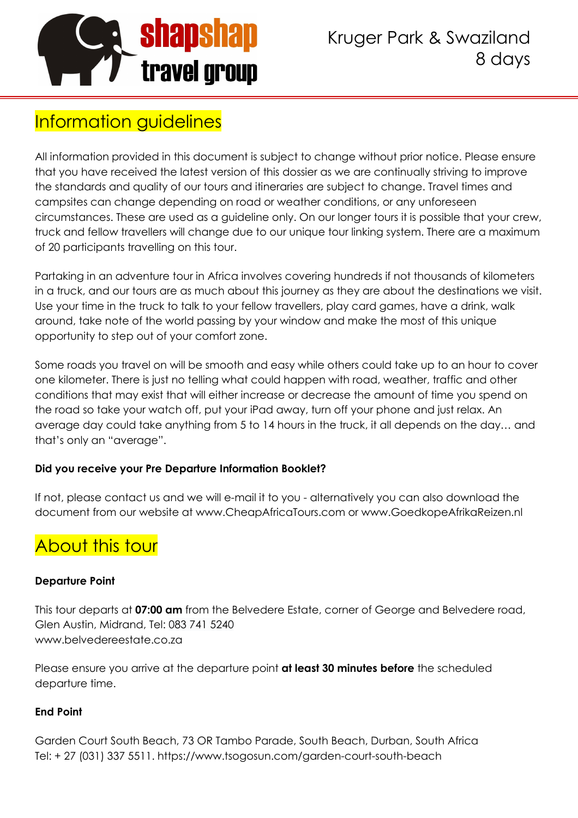

# Information guidelines

All information provided in this document is subject to change without prior notice. Please ensure that you have received the latest version of this dossier as we are continually striving to improve the standards and quality of our tours and itineraries are subject to change. Travel times and campsites can change depending on road or weather conditions, or any unforeseen circumstances. These are used as a guideline only. On our longer tours it is possible that your crew, truck and fellow travellers will change due to our unique tour linking system. There are a maximum of 20 participants travelling on this tour.

Partaking in an adventure tour in Africa involves covering hundreds if not thousands of kilometers in a truck, and our tours are as much about this journey as they are about the destinations we visit. Use your time in the truck to talk to your fellow travellers, play card games, have a drink, walk around, take note of the world passing by your window and make the most of this unique opportunity to step out of your comfort zone.

Some roads you travel on will be smooth and easy while others could take up to an hour to cover one kilometer. There is just no telling what could happen with road, weather, traffic and other conditions that may exist that will either increase or decrease the amount of time you spend on the road so take your watch off, put your iPad away, turn off your phone and just relax. An average day could take anything from 5 to 14 hours in the truck, it all depends on the day… and that's only an "average".

#### **Did you receive your Pre Departure Information Booklet?**

If not, please contact us and we will e-mail it to you - alternatively you can also download the document from our website at www.CheapAfricaTours.com or www.GoedkopeAfrikaReizen.nl

# About this tour

#### **Departure Point**

This tour departs at **07:00 am** from the Belvedere Estate, corner of George and Belvedere road, Glen Austin, Midrand, Tel: 083 741 5240 www.belvedereestate.co.za

Please ensure you arrive at the departure point **at least 30 minutes before** the scheduled departure time.

#### **End Point**

Garden Court South Beach, 73 OR Tambo Parade, South Beach, Durban, South Africa Tel: + 27 (031) 337 5511. https://www.tsogosun.com/garden-court-south-beach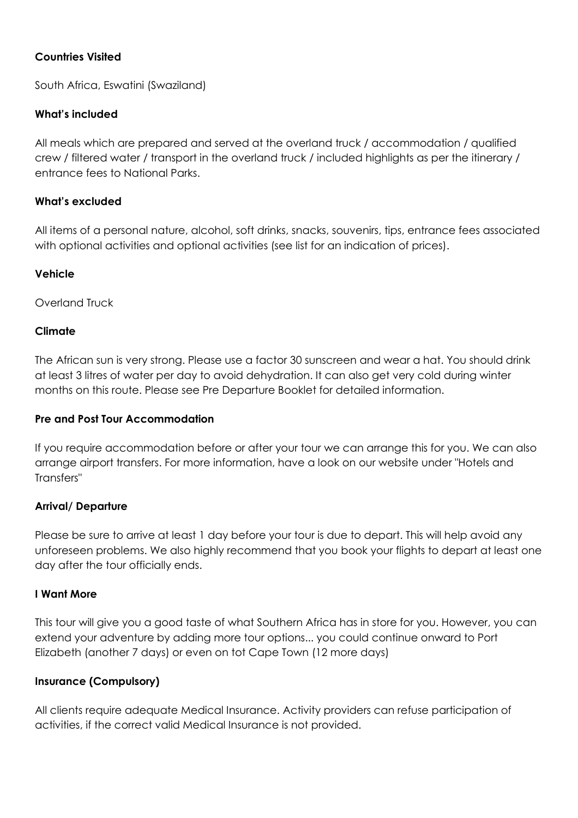#### **Countries Visited**

South Africa, Eswatini (Swaziland)

#### **What's included**

All meals which are prepared and served at the overland truck / accommodation / qualified crew / filtered water / transport in the overland truck / included highlights as per the itinerary / entrance fees to National Parks.

#### **What's excluded**

All items of a personal nature, alcohol, soft drinks, snacks, souvenirs, tips, entrance fees associated with optional activities and optional activities (see list for an indication of prices).

#### **Vehicle**

Overland Truck

#### **Climate**

The African sun is very strong. Please use a factor 30 sunscreen and wear a hat. You should drink at least 3 litres of water per day to avoid dehydration. It can also get very cold during winter months on this route. Please see Pre Departure Booklet for detailed information.

#### **Pre and Post Tour Accommodation**

If you require accommodation before or after your tour we can arrange this for you. We can also arrange airport transfers. For more information, have a look on our website under "Hotels and Transfers"

#### **Arrival/ Departure**

Please be sure to arrive at least 1 day before your tour is due to depart. This will help avoid any unforeseen problems. We also highly recommend that you book your flights to depart at least one day after the tour officially ends.

#### **I Want More**

This tour will give you a good taste of what Southern Africa has in store for you. However, you can extend your adventure by adding more tour options... you could continue onward to Port Elizabeth (another 7 days) or even on tot Cape Town (12 more days)

#### **Insurance (Compulsory)**

All clients require adequate Medical Insurance. Activity providers can refuse participation of activities, if the correct valid Medical Insurance is not provided.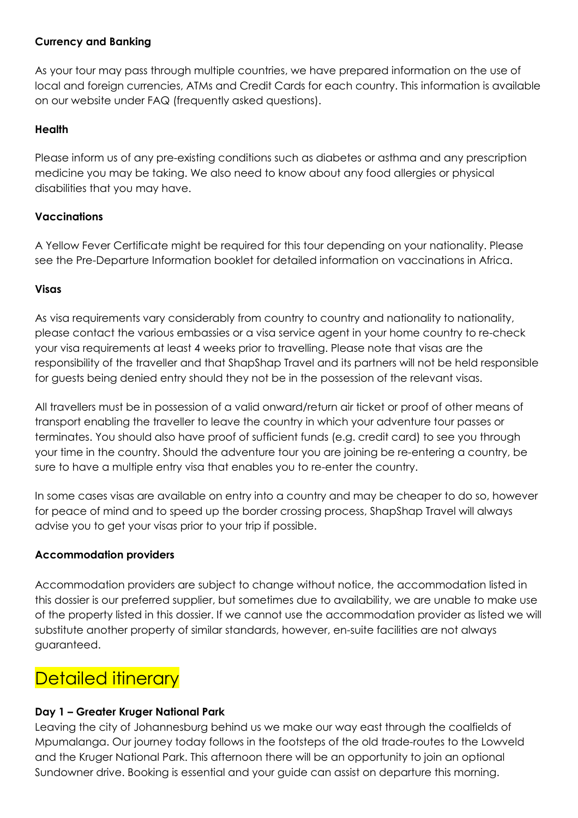#### **Currency and Banking**

As your tour may pass through multiple countries, we have prepared information on the use of local and foreign currencies, ATMs and Credit Cards for each country. This information is available on our website under FAQ (frequently asked questions).

#### **Health**

Please inform us of any pre-existing conditions such as diabetes or asthma and any prescription medicine you may be taking. We also need to know about any food allergies or physical disabilities that you may have.

#### **Vaccinations**

A Yellow Fever Certificate might be required for this tour depending on your nationality. Please see the Pre-Departure Information booklet for detailed information on vaccinations in Africa.

#### **Visas**

As visa requirements vary considerably from country to country and nationality to nationality, please contact the various embassies or a visa service agent in your home country to re-check your visa requirements at least 4 weeks prior to travelling. Please note that visas are the responsibility of the traveller and that ShapShap Travel and its partners will not be held responsible for guests being denied entry should they not be in the possession of the relevant visas.

All travellers must be in possession of a valid onward/return air ticket or proof of other means of transport enabling the traveller to leave the country in which your adventure tour passes or terminates. You should also have proof of sufficient funds (e.g. credit card) to see you through your time in the country. Should the adventure tour you are joining be re-entering a country, be sure to have a multiple entry visa that enables you to re-enter the country.

In some cases visas are available on entry into a country and may be cheaper to do so, however for peace of mind and to speed up the border crossing process, ShapShap Travel will always advise you to get your visas prior to your trip if possible.

#### **Accommodation providers**

Accommodation providers are subject to change without notice, the accommodation listed in this dossier is our preferred supplier, but sometimes due to availability, we are unable to make use of the property listed in this dossier. If we cannot use the accommodation provider as listed we will substitute another property of similar standards, however, en-suite facilities are not always guaranteed.

## **Detailed itinerary**

#### **Day 1 – Greater Kruger National Park**

Leaving the city of Johannesburg behind us we make our way east through the coalfields of Mpumalanga. Our journey today follows in the footsteps of the old trade-routes to the Lowveld and the Kruger National Park. This afternoon there will be an opportunity to join an optional Sundowner drive. Booking is essential and your guide can assist on departure this morning.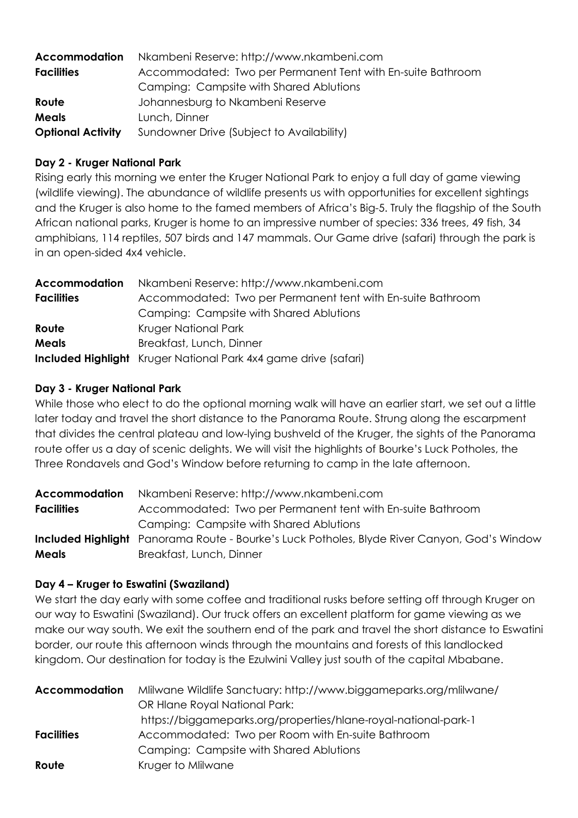| Accommodation            | Nkambeni Reserve: http://www.nkambeni.com                   |  |  |  |
|--------------------------|-------------------------------------------------------------|--|--|--|
| <b>Facilities</b>        | Accommodated: Two per Permanent Tent with En-suite Bathroom |  |  |  |
|                          | Camping: Campsite with Shared Ablutions                     |  |  |  |
| Route                    | Johannesburg to Nkambeni Reserve                            |  |  |  |
| <b>Meals</b>             | Lunch, Dinner                                               |  |  |  |
| <b>Optional Activity</b> | Sundowner Drive (Subject to Availability)                   |  |  |  |

#### **Day 2 - Kruger National Park**

Rising early this morning we enter the Kruger National Park to enjoy a full day of game viewing (wildlife viewing). The abundance of wildlife presents us with opportunities for excellent sightings and the Kruger is also home to the famed members of Africa's Big-5. Truly the flagship of the South African national parks, Kruger is home to an impressive number of species: 336 trees, 49 fish, 34 amphibians, 114 reptiles, 507 birds and 147 mammals. Our Game drive (safari) through the park is in an open-sided 4x4 vehicle.

| <b>Accommodation</b> | Nkambeni Reserve: http://www.nkambeni.com                              |  |  |
|----------------------|------------------------------------------------------------------------|--|--|
| <b>Facilities</b>    | Accommodated: Two per Permanent tent with En-suite Bathroom            |  |  |
|                      | Camping: Campsite with Shared Ablutions                                |  |  |
| Route                | Kruger National Park                                                   |  |  |
| <b>Meals</b>         | Breakfast, Lunch, Dinner                                               |  |  |
|                      | <b>Included Highlight</b> Kruger National Park 4x4 game drive (safari) |  |  |

#### **Day 3 - Kruger National Park**

While those who elect to do the optional morning walk will have an earlier start, we set out a little later today and travel the short distance to the Panorama Route. Strung along the escarpment that divides the central plateau and low-lying bushveld of the Kruger, the sights of the Panorama route offer us a day of scenic delights. We will visit the highlights of Bourke's Luck Potholes, the Three Rondavels and God's Window before returning to camp in the late afternoon.

| <b>Accommodation</b> | Nkambeni Reserve: http://www.nkambeni.com                                                           |  |  |
|----------------------|-----------------------------------------------------------------------------------------------------|--|--|
| <b>Facilities</b>    | Accommodated: Two per Permanent tent with En-suite Bathroom                                         |  |  |
|                      | Camping: Campsite with Shared Ablutions                                                             |  |  |
|                      | <b>Included Highlight</b> Panorama Route - Bourke's Luck Potholes, Blyde River Canyon, God's Window |  |  |
| <b>Meals</b>         | Breakfast, Lunch, Dinner                                                                            |  |  |

#### **Day 4 – Kruger to Eswatini (Swaziland)**

We start the day early with some coffee and traditional rusks before setting off through Kruger on our way to Eswatini (Swaziland). Our truck offers an excellent platform for game viewing as we make our way south. We exit the southern end of the park and travel the short distance to Eswatini border, our route this afternoon winds through the mountains and forests of this landlocked kingdom. Our destination for today is the Ezulwini Valley just south of the capital Mbabane.

| <b>Accommodation</b> | Millwane Wildlife Sanctuary: http://www.biggameparks.org/mlilwane/ |
|----------------------|--------------------------------------------------------------------|
|                      | OR Hlane Royal National Park:                                      |
|                      | https://biggameparks.org/properties/hlane-royal-national-park-1    |
| <b>Facilities</b>    | Accommodated: Two per Room with En-suite Bathroom                  |
|                      | Camping: Campsite with Shared Ablutions                            |
| Route                | Kruger to Mlilwane                                                 |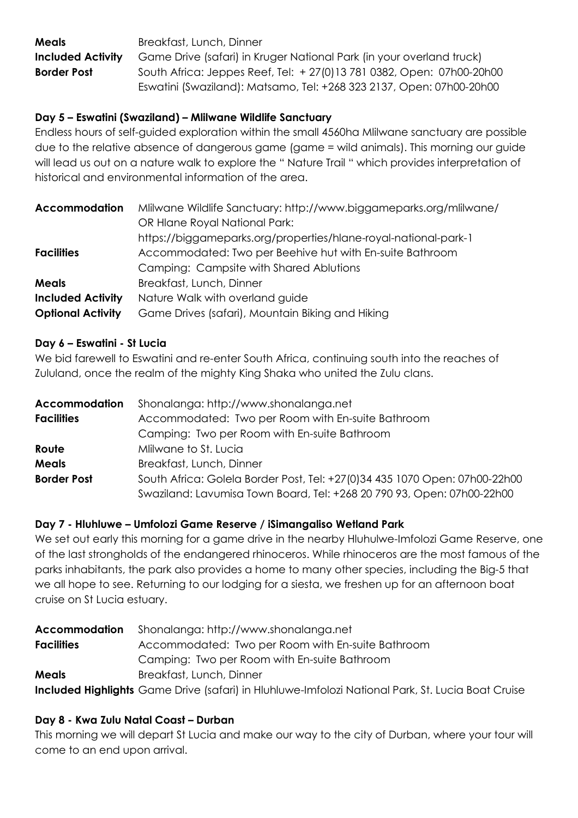**Meals** Breakfast, Lunch, Dinner **Included Activity** Game Drive (safari) in Kruger National Park (in your overland truck) **Border Post** South Africa: Jeppes Reef, Tel: + 27(0)13 781 0382, Open: 07h00-20h00 Eswatini (Swaziland): Matsamo, Tel: +268 323 2137, Open: 07h00-20h00

#### **Day 5 – Eswatini (Swaziland) – Mlilwane Wildlife Sanctuary**

Endless hours of self-guided exploration within the small 4560ha Mlilwane sanctuary are possible due to the relative absence of dangerous game (game = wild animals). This morning our guide will lead us out on a nature walk to explore the " Nature Trail " which provides interpretation of historical and environmental information of the area.

| <b>Accommodation</b>     | Milwane Wildlife Sanctuary: http://www.biggameparks.org/mlilwane/ |
|--------------------------|-------------------------------------------------------------------|
|                          | <b>OR Hlane Royal National Park:</b>                              |
|                          | https://biggameparks.org/properties/hlane-royal-national-park-1   |
| <b>Facilities</b>        | Accommodated: Two per Beehive hut with En-suite Bathroom          |
|                          | Camping: Campsite with Shared Ablutions                           |
| <b>Meals</b>             | Breakfast, Lunch, Dinner                                          |
| <b>Included Activity</b> | Nature Walk with overland guide                                   |
| <b>Optional Activity</b> | Game Drives (safari), Mountain Biking and Hiking                  |

#### **Day 6 – Eswatini - St Lucia**

We bid farewell to Eswatini and re-enter South Africa, continuing south into the reaches of Zululand, once the realm of the mighty King Shaka who united the Zulu clans.

| <b>Accommodation</b> | Shonalanga: http://www.shonalanga.net                                                                                                                |  |  |
|----------------------|------------------------------------------------------------------------------------------------------------------------------------------------------|--|--|
| <b>Facilities</b>    | Accommodated: Two per Room with En-suite Bathroom                                                                                                    |  |  |
|                      | Camping: Two per Room with En-suite Bathroom                                                                                                         |  |  |
| Route                | Mlilwane to St. Lucia                                                                                                                                |  |  |
| <b>Meals</b>         | Breakfast, Lunch, Dinner                                                                                                                             |  |  |
| <b>Border Post</b>   | South Africa: Golela Border Post, Tel: +27(0)34 435 1070 Open: 07h00-22h00<br>Swaziland: Lavumisa Town Board, Tel: +268 20 790 93, Open: 07h00-22h00 |  |  |

#### **Day 7 - Hluhluwe – Umfolozi Game Reserve / iSimangaliso Wetland Park**

We set out early this morning for a game drive in the nearby Hluhulwe-Imfolozi Game Reserve, one of the last strongholds of the endangered rhinoceros. While rhinoceros are the most famous of the parks inhabitants, the park also provides a home to many other species, including the Big-5 that we all hope to see. Returning to our lodging for a siesta, we freshen up for an afternoon boat cruise on St Lucia estuary.

| <b>Accommodation</b>                                                   | Shonalanga: http://www.shonalanga.net                                                                    |  |  |
|------------------------------------------------------------------------|----------------------------------------------------------------------------------------------------------|--|--|
| Accommodated: Two per Room with En-suite Bathroom<br><b>Facilities</b> |                                                                                                          |  |  |
|                                                                        | Camping: Two per Room with En-suite Bathroom                                                             |  |  |
| <b>Meals</b>                                                           | Breakfast, Lunch, Dinner                                                                                 |  |  |
|                                                                        | <b>Included Highlights</b> Game Drive (safari) in Hluhluwe-Imfolozi National Park, St. Lucia Boat Cruise |  |  |

#### **Day 8 - Kwa Zulu Natal Coast – Durban**

This morning we will depart St Lucia and make our way to the city of Durban, where your tour will come to an end upon arrival.